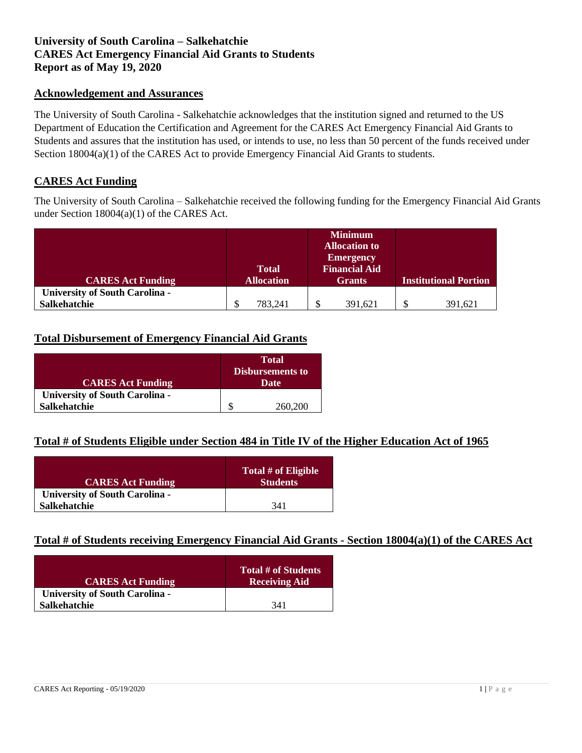# **University of South Carolina – Salkehatchie CARES Act Emergency Financial Aid Grants to Students Report as of May 19, 2020**

## **Acknowledgement and Assurances**

The University of South Carolina - Salkehatchie acknowledges that the institution signed and returned to the US Department of Education the Certification and Agreement for the CARES Act Emergency Financial Aid Grants to Students and assures that the institution has used, or intends to use, no less than 50 percent of the funds received under Section 18004(a)(1) of the CARES Act to provide Emergency Financial Aid Grants to students.

### **CARES Act Funding**

The University of South Carolina – Salkehatchie received the following funding for the Emergency Financial Aid Grants under Section 18004(a)(1) of the CARES Act.

|                                       |                   | <b>Minimum</b><br><b>Allocation to</b><br><b>Emergency</b> |                              |
|---------------------------------------|-------------------|------------------------------------------------------------|------------------------------|
|                                       | <b>Total</b>      | <b>Financial Aid</b>                                       |                              |
| <b>CARES Act Funding</b>              | <b>Allocation</b> | <b>Grants</b>                                              | <b>Institutional Portion</b> |
| <b>University of South Carolina -</b> |                   |                                                            |                              |
| Salkehatchie                          | 783,241           | 391,621                                                    | 391,621                      |

### **Total Disbursement of Emergency Financial Aid Grants**

|                                       | <b>Total</b>            |         |  |
|---------------------------------------|-------------------------|---------|--|
|                                       | <b>Disbursements to</b> |         |  |
| <b>CARES Act Funding</b>              | Date                    |         |  |
| <b>University of South Carolina -</b> |                         |         |  |
| <b>Salkehatchie</b>                   |                         | 260,200 |  |

# **Total # of Students Eligible under Section 484 in Title IV of the Higher Education Act of 1965**

| <b>CARES Act Funding</b>              | Total # of Eligible<br><b>Students</b> |
|---------------------------------------|----------------------------------------|
| <b>University of South Carolina -</b> |                                        |
| <b>Salkehatchie</b>                   | 341                                    |

## **Total # of Students receiving Emergency Financial Aid Grants - Section 18004(a)(1) of the CARES Act**

| <b>CARES Act Funding</b>              | <b>Total # of Students</b><br><b>Receiving Aid</b> |
|---------------------------------------|----------------------------------------------------|
| <b>University of South Carolina -</b> |                                                    |
| <b>Salkehatchie</b>                   | 341                                                |